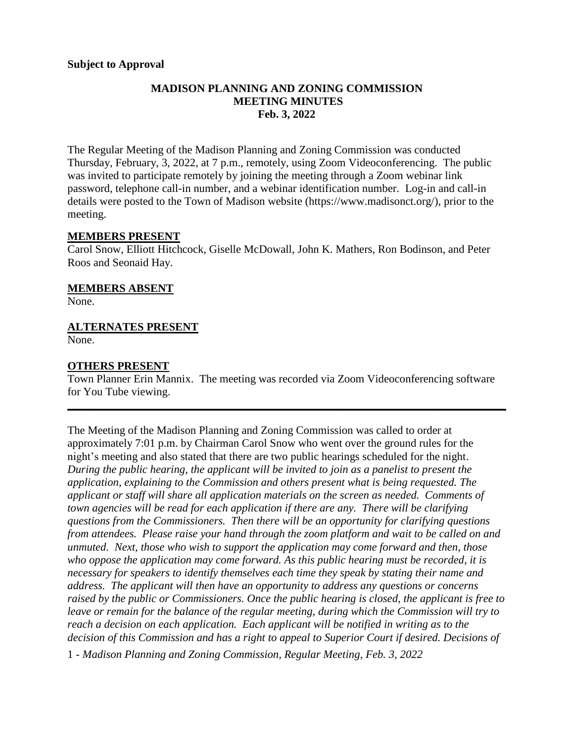## **MADISON PLANNING AND ZONING COMMISSION MEETING MINUTES Feb. 3, 2022**

The Regular Meeting of the Madison Planning and Zoning Commission was conducted Thursday, February, 3, 2022, at 7 p.m., remotely, using Zoom Videoconferencing. The public was invited to participate remotely by joining the meeting through a Zoom webinar link password, telephone call-in number, and a webinar identification number. Log-in and call-in details were posted to the Town of Madison website [\(https://www.madisonct.org/\)](https://www.madisonct.org/), prior to the meeting.

#### **MEMBERS PRESENT**

Carol Snow, Elliott Hitchcock, Giselle McDowall, John K. Mathers, Ron Bodinson, and Peter Roos and Seonaid Hay.

## **MEMBERS ABSENT**

None.

## **ALTERNATES PRESENT**

None.

## **OTHERS PRESENT**

Town Planner Erin Mannix. The meeting was recorded via Zoom Videoconferencing software for You Tube viewing.

**\_\_\_\_\_\_\_\_\_\_\_\_\_\_\_\_\_\_\_\_\_\_\_\_\_\_\_\_\_\_\_\_\_\_\_\_\_\_\_\_\_\_\_\_\_\_\_\_\_\_\_\_\_\_\_\_\_\_\_\_\_\_\_\_\_\_\_\_\_\_\_\_\_\_\_\_\_\_**

The Meeting of the Madison Planning and Zoning Commission was called to order at approximately 7:01 p.m. by Chairman Carol Snow who went over the ground rules for the night's meeting and also stated that there are two public hearings scheduled for the night. *During the public hearing, the applicant will be invited to join as a panelist to present the application, explaining to the Commission and others present what is being requested. The applicant or staff will share all application materials on the screen as needed. Comments of town agencies will be read for each application if there are any. There will be clarifying questions from the Commissioners. Then there will be an opportunity for clarifying questions from attendees. Please raise your hand through the zoom platform and wait to be called on and unmuted. Next, those who wish to support the application may come forward and then, those who oppose the application may come forward. As this public hearing must be recorded, it is necessary for speakers to identify themselves each time they speak by stating their name and address. The applicant will then have an opportunity to address any questions or concerns raised by the public or Commissioners. Once the public hearing is closed, the applicant is free to leave or remain for the balance of the regular meeting, during which the Commission will try to reach a decision on each application. Each applicant will be notified in writing as to the decision of this Commission and has a right to appeal to Superior Court if desired. Decisions of*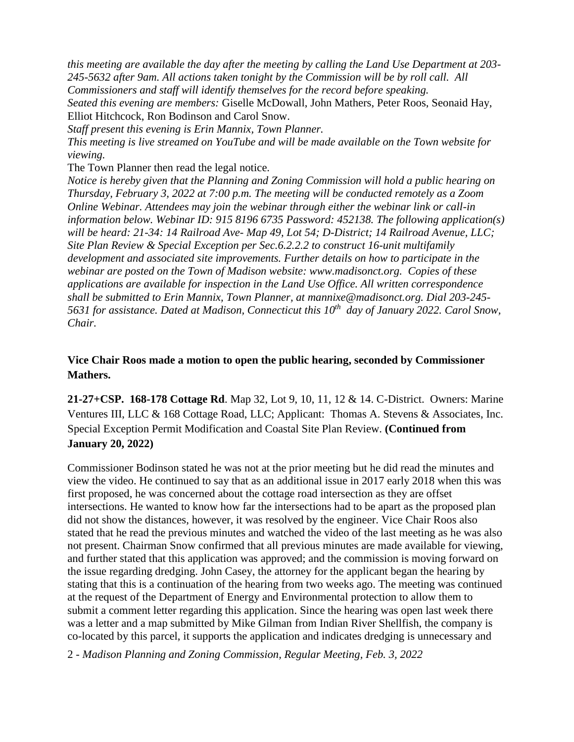*this meeting are available the day after the meeting by calling the Land Use Department at 203- 245-5632 after 9am. All actions taken tonight by the Commission will be by roll call. All Commissioners and staff will identify themselves for the record before speaking. Seated this evening are members:* Giselle McDowall, John Mathers, Peter Roos, Seonaid Hay, Elliot Hitchcock, Ron Bodinson and Carol Snow. *Staff present this evening is Erin Mannix, Town Planner.* 

*This meeting is live streamed on YouTube and will be made available on the Town website for viewing.* 

The Town Planner then read the legal notice.

*Notice is hereby given that the Planning and Zoning Commission will hold a public hearing on Thursday, February 3, 2022 at 7:00 p.m. The meeting will be conducted remotely as a Zoom Online Webinar. Attendees may join the webinar through either the webinar link or call-in information below. Webinar ID: 915 8196 6735 Password: 452138. The following application(s) will be heard: 21-34: 14 Railroad Ave- Map 49, Lot 54; D-District; 14 Railroad Avenue, LLC; Site Plan Review & Special Exception per Sec.6.2.2.2 to construct 16-unit multifamily development and associated site improvements. Further details on how to participate in the webinar are posted on the Town of Madison website: www.madisonct.org. Copies of these applications are available for inspection in the Land Use Office. All written correspondence shall be submitted to Erin Mannix, Town Planner, at mannixe@madisonct.org. Dial 203-245- 5631 for assistance. Dated at Madison, Connecticut this 10th day of January 2022. Carol Snow, Chair.*

# **Vice Chair Roos made a motion to open the public hearing, seconded by Commissioner Mathers.**

**21-27+CSP. 168-178 Cottage Rd**. Map 32, Lot 9, 10, 11, 12 & 14. C-District. Owners: Marine Ventures III, LLC & 168 Cottage Road, LLC; Applicant: Thomas A. Stevens & Associates, Inc. Special Exception Permit Modification and Coastal Site Plan Review. **(Continued from January 20, 2022)**

Commissioner Bodinson stated he was not at the prior meeting but he did read the minutes and view the video. He continued to say that as an additional issue in 2017 early 2018 when this was first proposed, he was concerned about the cottage road intersection as they are offset intersections. He wanted to know how far the intersections had to be apart as the proposed plan did not show the distances, however, it was resolved by the engineer. Vice Chair Roos also stated that he read the previous minutes and watched the video of the last meeting as he was also not present. Chairman Snow confirmed that all previous minutes are made available for viewing, and further stated that this application was approved; and the commission is moving forward on the issue regarding dredging. John Casey, the attorney for the applicant began the hearing by stating that this is a continuation of the hearing from two weeks ago. The meeting was continued at the request of the Department of Energy and Environmental protection to allow them to submit a comment letter regarding this application. Since the hearing was open last week there was a letter and a map submitted by Mike Gilman from Indian River Shellfish, the company is co-located by this parcel, it supports the application and indicates dredging is unnecessary and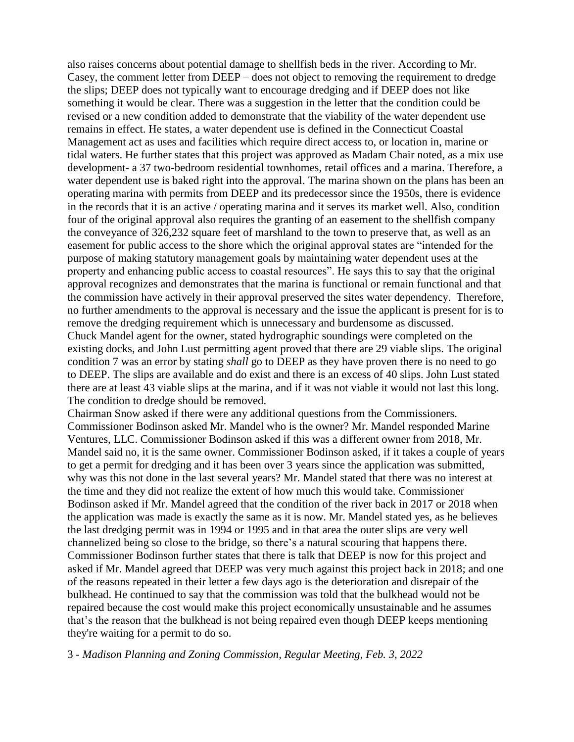also raises concerns about potential damage to shellfish beds in the river. According to Mr. Casey, the comment letter from DEEP – does not object to removing the requirement to dredge the slips; DEEP does not typically want to encourage dredging and if DEEP does not like something it would be clear. There was a suggestion in the letter that the condition could be revised or a new condition added to demonstrate that the viability of the water dependent use remains in effect. He states, a water dependent use is defined in the Connecticut Coastal Management act as uses and facilities which require direct access to, or location in, marine or tidal waters. He further states that this project was approved as Madam Chair noted, as a mix use development- a 37 two-bedroom residential townhomes, retail offices and a marina. Therefore, a water dependent use is baked right into the approval. The marina shown on the plans has been an operating marina with permits from DEEP and its predecessor since the 1950s, there is evidence in the records that it is an active / operating marina and it serves its market well. Also, condition four of the original approval also requires the granting of an easement to the shellfish company the conveyance of 326,232 square feet of marshland to the town to preserve that, as well as an easement for public access to the shore which the original approval states are "intended for the purpose of making statutory management goals by maintaining water dependent uses at the property and enhancing public access to coastal resources". He says this to say that the original approval recognizes and demonstrates that the marina is functional or remain functional and that the commission have actively in their approval preserved the sites water dependency. Therefore, no further amendments to the approval is necessary and the issue the applicant is present for is to remove the dredging requirement which is unnecessary and burdensome as discussed. Chuck Mandel agent for the owner, stated hydrographic soundings were completed on the existing docks, and John Lust permitting agent proved that there are 29 viable slips. The original condition 7 was an error by stating *shall* go to DEEP as they have proven there is no need to go to DEEP. The slips are available and do exist and there is an excess of 40 slips. John Lust stated there are at least 43 viable slips at the marina, and if it was not viable it would not last this long. The condition to dredge should be removed.

Chairman Snow asked if there were any additional questions from the Commissioners. Commissioner Bodinson asked Mr. Mandel who is the owner? Mr. Mandel responded Marine Ventures, LLC. Commissioner Bodinson asked if this was a different owner from 2018, Mr. Mandel said no, it is the same owner. Commissioner Bodinson asked, if it takes a couple of years to get a permit for dredging and it has been over 3 years since the application was submitted, why was this not done in the last several years? Mr. Mandel stated that there was no interest at the time and they did not realize the extent of how much this would take. Commissioner Bodinson asked if Mr. Mandel agreed that the condition of the river back in 2017 or 2018 when the application was made is exactly the same as it is now. Mr. Mandel stated yes, as he believes the last dredging permit was in 1994 or 1995 and in that area the outer slips are very well channelized being so close to the bridge, so there's a natural scouring that happens there. Commissioner Bodinson further states that there is talk that DEEP is now for this project and asked if Mr. Mandel agreed that DEEP was very much against this project back in 2018; and one of the reasons repeated in their letter a few days ago is the deterioration and disrepair of the bulkhead. He continued to say that the commission was told that the bulkhead would not be repaired because the cost would make this project economically unsustainable and he assumes that's the reason that the bulkhead is not being repaired even though DEEP keeps mentioning they're waiting for a permit to do so.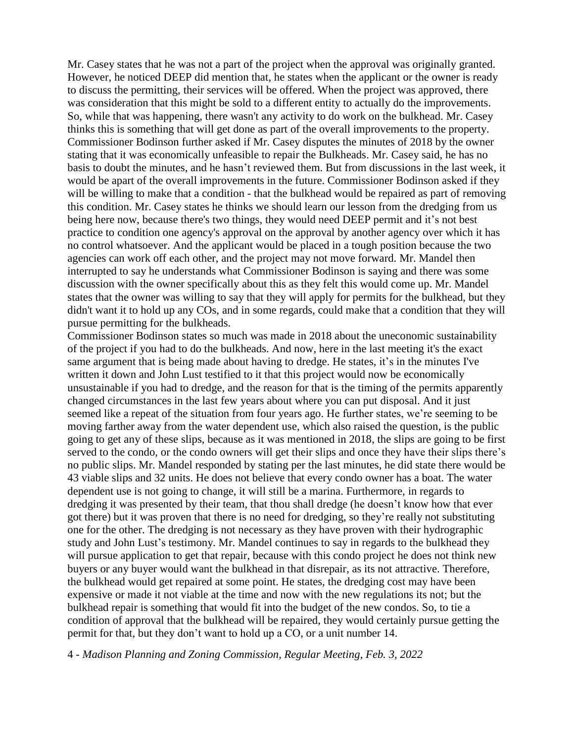Mr. Casey states that he was not a part of the project when the approval was originally granted. However, he noticed DEEP did mention that, he states when the applicant or the owner is ready to discuss the permitting, their services will be offered. When the project was approved, there was consideration that this might be sold to a different entity to actually do the improvements. So, while that was happening, there wasn't any activity to do work on the bulkhead. Mr. Casey thinks this is something that will get done as part of the overall improvements to the property. Commissioner Bodinson further asked if Mr. Casey disputes the minutes of 2018 by the owner stating that it was economically unfeasible to repair the Bulkheads. Mr. Casey said, he has no basis to doubt the minutes, and he hasn't reviewed them. But from discussions in the last week, it would be apart of the overall improvements in the future. Commissioner Bodinson asked if they will be willing to make that a condition - that the bulkhead would be repaired as part of removing this condition. Mr. Casey states he thinks we should learn our lesson from the dredging from us being here now, because there's two things, they would need DEEP permit and it's not best practice to condition one agency's approval on the approval by another agency over which it has no control whatsoever. And the applicant would be placed in a tough position because the two agencies can work off each other, and the project may not move forward. Mr. Mandel then interrupted to say he understands what Commissioner Bodinson is saying and there was some discussion with the owner specifically about this as they felt this would come up. Mr. Mandel states that the owner was willing to say that they will apply for permits for the bulkhead, but they didn't want it to hold up any COs, and in some regards, could make that a condition that they will pursue permitting for the bulkheads.

Commissioner Bodinson states so much was made in 2018 about the uneconomic sustainability of the project if you had to do the bulkheads. And now, here in the last meeting it's the exact same argument that is being made about having to dredge. He states, it's in the minutes I've written it down and John Lust testified to it that this project would now be economically unsustainable if you had to dredge, and the reason for that is the timing of the permits apparently changed circumstances in the last few years about where you can put disposal. And it just seemed like a repeat of the situation from four years ago. He further states, we're seeming to be moving farther away from the water dependent use, which also raised the question, is the public going to get any of these slips, because as it was mentioned in 2018, the slips are going to be first served to the condo, or the condo owners will get their slips and once they have their slips there's no public slips. Mr. Mandel responded by stating per the last minutes, he did state there would be 43 viable slips and 32 units. He does not believe that every condo owner has a boat. The water dependent use is not going to change, it will still be a marina. Furthermore, in regards to dredging it was presented by their team, that thou shall dredge (he doesn't know how that ever got there) but it was proven that there is no need for dredging, so they're really not substituting one for the other. The dredging is not necessary as they have proven with their hydrographic study and John Lust's testimony. Mr. Mandel continues to say in regards to the bulkhead they will pursue application to get that repair, because with this condo project he does not think new buyers or any buyer would want the bulkhead in that disrepair, as its not attractive. Therefore, the bulkhead would get repaired at some point. He states, the dredging cost may have been expensive or made it not viable at the time and now with the new regulations its not; but the bulkhead repair is something that would fit into the budget of the new condos. So, to tie a condition of approval that the bulkhead will be repaired, they would certainly pursue getting the permit for that, but they don't want to hold up a CO, or a unit number 14.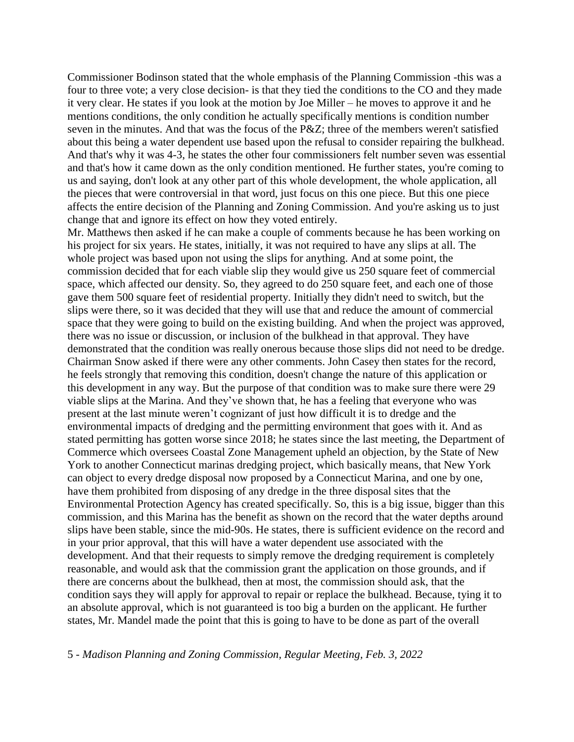Commissioner Bodinson stated that the whole emphasis of the Planning Commission -this was a four to three vote; a very close decision- is that they tied the conditions to the CO and they made it very clear. He states if you look at the motion by Joe Miller – he moves to approve it and he mentions conditions, the only condition he actually specifically mentions is condition number seven in the minutes. And that was the focus of the P&Z; three of the members weren't satisfied about this being a water dependent use based upon the refusal to consider repairing the bulkhead. And that's why it was 4-3, he states the other four commissioners felt number seven was essential and that's how it came down as the only condition mentioned. He further states, you're coming to us and saying, don't look at any other part of this whole development, the whole application, all the pieces that were controversial in that word, just focus on this one piece. But this one piece affects the entire decision of the Planning and Zoning Commission. And you're asking us to just change that and ignore its effect on how they voted entirely.

Mr. Matthews then asked if he can make a couple of comments because he has been working on his project for six years. He states, initially, it was not required to have any slips at all. The whole project was based upon not using the slips for anything. And at some point, the commission decided that for each viable slip they would give us 250 square feet of commercial space, which affected our density. So, they agreed to do 250 square feet, and each one of those gave them 500 square feet of residential property. Initially they didn't need to switch, but the slips were there, so it was decided that they will use that and reduce the amount of commercial space that they were going to build on the existing building. And when the project was approved, there was no issue or discussion, or inclusion of the bulkhead in that approval. They have demonstrated that the condition was really onerous because those slips did not need to be dredge. Chairman Snow asked if there were any other comments. John Casey then states for the record, he feels strongly that removing this condition, doesn't change the nature of this application or this development in any way. But the purpose of that condition was to make sure there were 29 viable slips at the Marina. And they've shown that, he has a feeling that everyone who was present at the last minute weren't cognizant of just how difficult it is to dredge and the environmental impacts of dredging and the permitting environment that goes with it. And as stated permitting has gotten worse since 2018; he states since the last meeting, the Department of Commerce which oversees Coastal Zone Management upheld an objection, by the State of New York to another Connecticut marinas dredging project, which basically means, that New York can object to every dredge disposal now proposed by a Connecticut Marina, and one by one, have them prohibited from disposing of any dredge in the three disposal sites that the Environmental Protection Agency has created specifically. So, this is a big issue, bigger than this commission, and this Marina has the benefit as shown on the record that the water depths around slips have been stable, since the mid-90s. He states, there is sufficient evidence on the record and in your prior approval, that this will have a water dependent use associated with the development. And that their requests to simply remove the dredging requirement is completely reasonable, and would ask that the commission grant the application on those grounds, and if there are concerns about the bulkhead, then at most, the commission should ask, that the condition says they will apply for approval to repair or replace the bulkhead. Because, tying it to an absolute approval, which is not guaranteed is too big a burden on the applicant. He further states, Mr. Mandel made the point that this is going to have to be done as part of the overall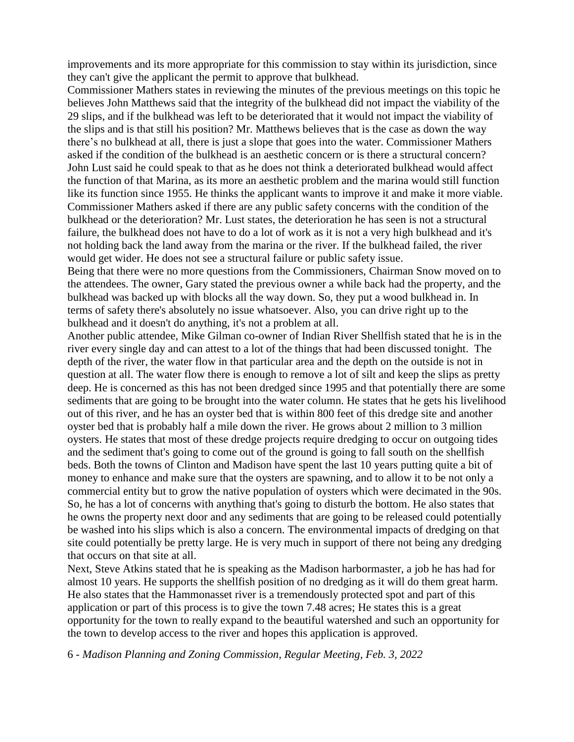improvements and its more appropriate for this commission to stay within its jurisdiction, since they can't give the applicant the permit to approve that bulkhead.

Commissioner Mathers states in reviewing the minutes of the previous meetings on this topic he believes John Matthews said that the integrity of the bulkhead did not impact the viability of the 29 slips, and if the bulkhead was left to be deteriorated that it would not impact the viability of the slips and is that still his position? Mr. Matthews believes that is the case as down the way there's no bulkhead at all, there is just a slope that goes into the water. Commissioner Mathers asked if the condition of the bulkhead is an aesthetic concern or is there a structural concern? John Lust said he could speak to that as he does not think a deteriorated bulkhead would affect the function of that Marina, as its more an aesthetic problem and the marina would still function like its function since 1955. He thinks the applicant wants to improve it and make it more viable. Commissioner Mathers asked if there are any public safety concerns with the condition of the bulkhead or the deterioration? Mr. Lust states, the deterioration he has seen is not a structural failure, the bulkhead does not have to do a lot of work as it is not a very high bulkhead and it's not holding back the land away from the marina or the river. If the bulkhead failed, the river would get wider. He does not see a structural failure or public safety issue.

Being that there were no more questions from the Commissioners, Chairman Snow moved on to the attendees. The owner, Gary stated the previous owner a while back had the property, and the bulkhead was backed up with blocks all the way down. So, they put a wood bulkhead in. In terms of safety there's absolutely no issue whatsoever. Also, you can drive right up to the bulkhead and it doesn't do anything, it's not a problem at all.

Another public attendee, Mike Gilman co-owner of Indian River Shellfish stated that he is in the river every single day and can attest to a lot of the things that had been discussed tonight. The depth of the river, the water flow in that particular area and the depth on the outside is not in question at all. The water flow there is enough to remove a lot of silt and keep the slips as pretty deep. He is concerned as this has not been dredged since 1995 and that potentially there are some sediments that are going to be brought into the water column. He states that he gets his livelihood out of this river, and he has an oyster bed that is within 800 feet of this dredge site and another oyster bed that is probably half a mile down the river. He grows about 2 million to 3 million oysters. He states that most of these dredge projects require dredging to occur on outgoing tides and the sediment that's going to come out of the ground is going to fall south on the shellfish beds. Both the towns of Clinton and Madison have spent the last 10 years putting quite a bit of money to enhance and make sure that the oysters are spawning, and to allow it to be not only a commercial entity but to grow the native population of oysters which were decimated in the 90s. So, he has a lot of concerns with anything that's going to disturb the bottom. He also states that he owns the property next door and any sediments that are going to be released could potentially be washed into his slips which is also a concern. The environmental impacts of dredging on that site could potentially be pretty large. He is very much in support of there not being any dredging that occurs on that site at all.

Next, Steve Atkins stated that he is speaking as the Madison harbormaster, a job he has had for almost 10 years. He supports the shellfish position of no dredging as it will do them great harm. He also states that the Hammonasset river is a tremendously protected spot and part of this application or part of this process is to give the town 7.48 acres; He states this is a great opportunity for the town to really expand to the beautiful watershed and such an opportunity for the town to develop access to the river and hopes this application is approved.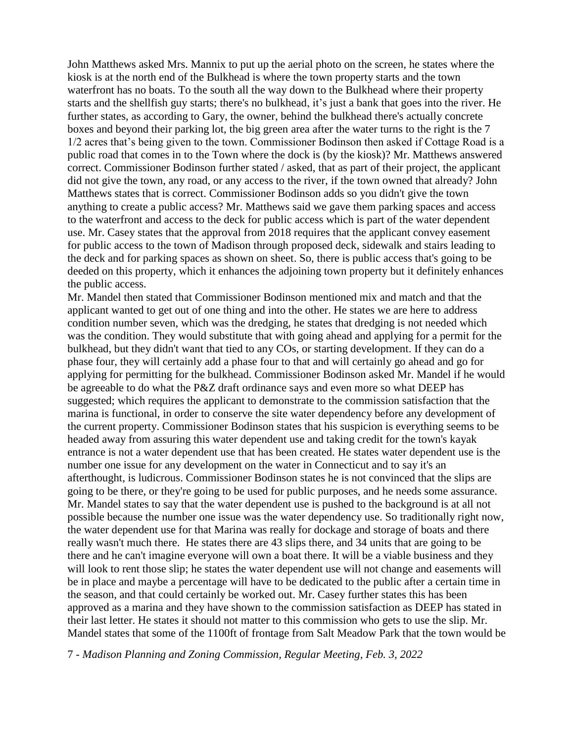John Matthews asked Mrs. Mannix to put up the aerial photo on the screen, he states where the kiosk is at the north end of the Bulkhead is where the town property starts and the town waterfront has no boats. To the south all the way down to the Bulkhead where their property starts and the shellfish guy starts; there's no bulkhead, it's just a bank that goes into the river. He further states, as according to Gary, the owner, behind the bulkhead there's actually concrete boxes and beyond their parking lot, the big green area after the water turns to the right is the 7 1/2 acres that's being given to the town. Commissioner Bodinson then asked if Cottage Road is a public road that comes in to the Town where the dock is (by the kiosk)? Mr. Matthews answered correct. Commissioner Bodinson further stated / asked, that as part of their project, the applicant did not give the town, any road, or any access to the river, if the town owned that already? John Matthews states that is correct. Commissioner Bodinson adds so you didn't give the town anything to create a public access? Mr. Matthews said we gave them parking spaces and access to the waterfront and access to the deck for public access which is part of the water dependent use. Mr. Casey states that the approval from 2018 requires that the applicant convey easement for public access to the town of Madison through proposed deck, sidewalk and stairs leading to the deck and for parking spaces as shown on sheet. So, there is public access that's going to be deeded on this property, which it enhances the adjoining town property but it definitely enhances the public access.

Mr. Mandel then stated that Commissioner Bodinson mentioned mix and match and that the applicant wanted to get out of one thing and into the other. He states we are here to address condition number seven, which was the dredging, he states that dredging is not needed which was the condition. They would substitute that with going ahead and applying for a permit for the bulkhead, but they didn't want that tied to any COs, or starting development. If they can do a phase four, they will certainly add a phase four to that and will certainly go ahead and go for applying for permitting for the bulkhead. Commissioner Bodinson asked Mr. Mandel if he would be agreeable to do what the P&Z draft ordinance says and even more so what DEEP has suggested; which requires the applicant to demonstrate to the commission satisfaction that the marina is functional, in order to conserve the site water dependency before any development of the current property. Commissioner Bodinson states that his suspicion is everything seems to be headed away from assuring this water dependent use and taking credit for the town's kayak entrance is not a water dependent use that has been created. He states water dependent use is the number one issue for any development on the water in Connecticut and to say it's an afterthought, is ludicrous. Commissioner Bodinson states he is not convinced that the slips are going to be there, or they're going to be used for public purposes, and he needs some assurance. Mr. Mandel states to say that the water dependent use is pushed to the background is at all not possible because the number one issue was the water dependency use. So traditionally right now, the water dependent use for that Marina was really for dockage and storage of boats and there really wasn't much there. He states there are 43 slips there, and 34 units that are going to be there and he can't imagine everyone will own a boat there. It will be a viable business and they will look to rent those slip; he states the water dependent use will not change and easements will be in place and maybe a percentage will have to be dedicated to the public after a certain time in the season, and that could certainly be worked out. Mr. Casey further states this has been approved as a marina and they have shown to the commission satisfaction as DEEP has stated in their last letter. He states it should not matter to this commission who gets to use the slip. Mr. Mandel states that some of the 1100ft of frontage from Salt Meadow Park that the town would be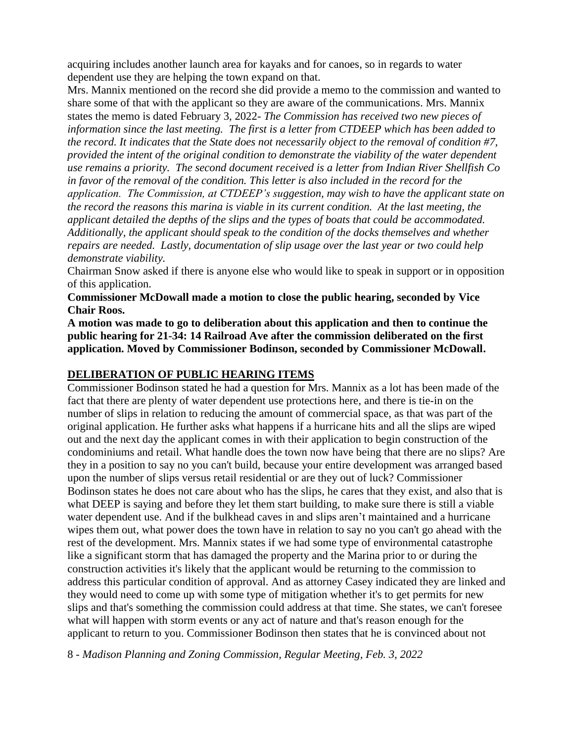acquiring includes another launch area for kayaks and for canoes, so in regards to water dependent use they are helping the town expand on that.

Mrs. Mannix mentioned on the record she did provide a memo to the commission and wanted to share some of that with the applicant so they are aware of the communications. Mrs. Mannix states the memo is dated February 3, 2022- *The Commission has received two new pieces of information since the last meeting. The first is a letter from CTDEEP which has been added to the record. It indicates that the State does not necessarily object to the removal of condition #7, provided the intent of the original condition to demonstrate the viability of the water dependent use remains a priority. The second document received is a letter from Indian River Shellfish Co in favor of the removal of the condition. This letter is also included in the record for the application. The Commission, at CTDEEP's suggestion, may wish to have the applicant state on the record the reasons this marina is viable in its current condition. At the last meeting, the applicant detailed the depths of the slips and the types of boats that could be accommodated. Additionally, the applicant should speak to the condition of the docks themselves and whether repairs are needed. Lastly, documentation of slip usage over the last year or two could help demonstrate viability.* 

Chairman Snow asked if there is anyone else who would like to speak in support or in opposition of this application.

**Commissioner McDowall made a motion to close the public hearing, seconded by Vice Chair Roos.**

**A motion was made to go to deliberation about this application and then to continue the public hearing for 21-34: 14 Railroad Ave after the commission deliberated on the first application. Moved by Commissioner Bodinson, seconded by Commissioner McDowall.**

## **DELIBERATION OF PUBLIC HEARING ITEMS**

Commissioner Bodinson stated he had a question for Mrs. Mannix as a lot has been made of the fact that there are plenty of water dependent use protections here, and there is tie-in on the number of slips in relation to reducing the amount of commercial space, as that was part of the original application. He further asks what happens if a hurricane hits and all the slips are wiped out and the next day the applicant comes in with their application to begin construction of the condominiums and retail. What handle does the town now have being that there are no slips? Are they in a position to say no you can't build, because your entire development was arranged based upon the number of slips versus retail residential or are they out of luck? Commissioner Bodinson states he does not care about who has the slips, he cares that they exist, and also that is what DEEP is saying and before they let them start building, to make sure there is still a viable water dependent use. And if the bulkhead caves in and slips aren't maintained and a hurricane wipes them out, what power does the town have in relation to say no you can't go ahead with the rest of the development. Mrs. Mannix states if we had some type of environmental catastrophe like a significant storm that has damaged the property and the Marina prior to or during the construction activities it's likely that the applicant would be returning to the commission to address this particular condition of approval. And as attorney Casey indicated they are linked and they would need to come up with some type of mitigation whether it's to get permits for new slips and that's something the commission could address at that time. She states, we can't foresee what will happen with storm events or any act of nature and that's reason enough for the applicant to return to you. Commissioner Bodinson then states that he is convinced about not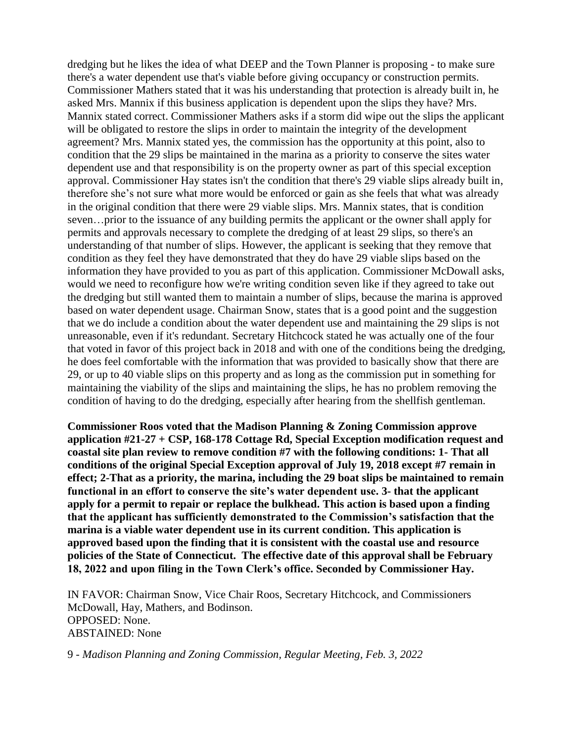dredging but he likes the idea of what DEEP and the Town Planner is proposing - to make sure there's a water dependent use that's viable before giving occupancy or construction permits. Commissioner Mathers stated that it was his understanding that protection is already built in, he asked Mrs. Mannix if this business application is dependent upon the slips they have? Mrs. Mannix stated correct. Commissioner Mathers asks if a storm did wipe out the slips the applicant will be obligated to restore the slips in order to maintain the integrity of the development agreement? Mrs. Mannix stated yes, the commission has the opportunity at this point, also to condition that the 29 slips be maintained in the marina as a priority to conserve the sites water dependent use and that responsibility is on the property owner as part of this special exception approval. Commissioner Hay states isn't the condition that there's 29 viable slips already built in, therefore she's not sure what more would be enforced or gain as she feels that what was already in the original condition that there were 29 viable slips. Mrs. Mannix states, that is condition seven…prior to the issuance of any building permits the applicant or the owner shall apply for permits and approvals necessary to complete the dredging of at least 29 slips, so there's an understanding of that number of slips. However, the applicant is seeking that they remove that condition as they feel they have demonstrated that they do have 29 viable slips based on the information they have provided to you as part of this application. Commissioner McDowall asks, would we need to reconfigure how we're writing condition seven like if they agreed to take out the dredging but still wanted them to maintain a number of slips, because the marina is approved based on water dependent usage. Chairman Snow, states that is a good point and the suggestion that we do include a condition about the water dependent use and maintaining the 29 slips is not unreasonable, even if it's redundant. Secretary Hitchcock stated he was actually one of the four that voted in favor of this project back in 2018 and with one of the conditions being the dredging, he does feel comfortable with the information that was provided to basically show that there are 29, or up to 40 viable slips on this property and as long as the commission put in something for maintaining the viability of the slips and maintaining the slips, he has no problem removing the condition of having to do the dredging, especially after hearing from the shellfish gentleman.

**Commissioner Roos voted that the Madison Planning & Zoning Commission approve application #21-27 + CSP, 168-178 Cottage Rd, Special Exception modification request and coastal site plan review to remove condition #7 with the following conditions: 1- That all conditions of the original Special Exception approval of July 19, 2018 except #7 remain in effect; 2-That as a priority, the marina, including the 29 boat slips be maintained to remain functional in an effort to conserve the site's water dependent use. 3- that the applicant apply for a permit to repair or replace the bulkhead. This action is based upon a finding that the applicant has sufficiently demonstrated to the Commission's satisfaction that the marina is a viable water dependent use in its current condition. This application is approved based upon the finding that it is consistent with the coastal use and resource policies of the State of Connecticut. The effective date of this approval shall be February 18, 2022 and upon filing in the Town Clerk's office. Seconded by Commissioner Hay.**

IN FAVOR: Chairman Snow, Vice Chair Roos, Secretary Hitchcock, and Commissioners McDowall, Hay, Mathers, and Bodinson. OPPOSED: None. ABSTAINED: None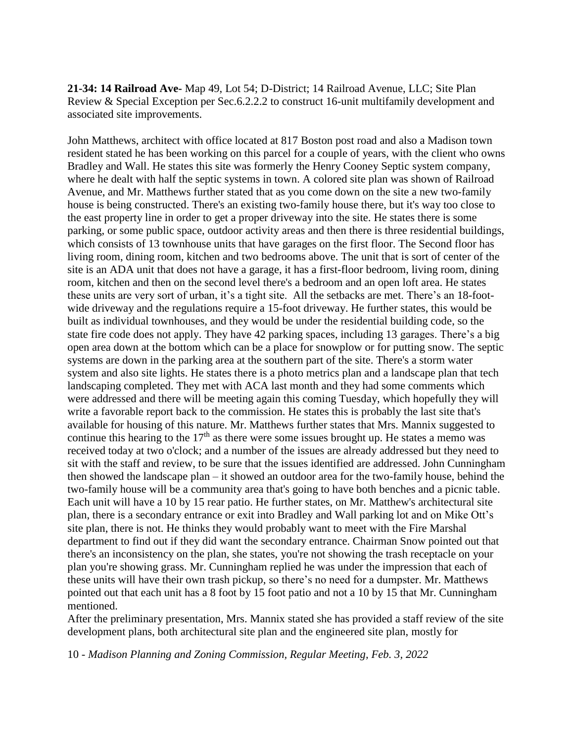**21-34: 14 Railroad Ave-** Map 49, Lot 54; D-District; 14 Railroad Avenue, LLC; Site Plan Review & Special Exception per Sec.6.2.2.2 to construct 16-unit multifamily development and associated site improvements.

John Matthews, architect with office located at 817 Boston post road and also a Madison town resident stated he has been working on this parcel for a couple of years, with the client who owns Bradley and Wall. He states this site was formerly the Henry Cooney Septic system company, where he dealt with half the septic systems in town. A colored site plan was shown of Railroad Avenue, and Mr. Matthews further stated that as you come down on the site a new two-family house is being constructed. There's an existing two-family house there, but it's way too close to the east property line in order to get a proper driveway into the site. He states there is some parking, or some public space, outdoor activity areas and then there is three residential buildings, which consists of 13 townhouse units that have garages on the first floor. The Second floor has living room, dining room, kitchen and two bedrooms above. The unit that is sort of center of the site is an ADA unit that does not have a garage, it has a first-floor bedroom, living room, dining room, kitchen and then on the second level there's a bedroom and an open loft area. He states these units are very sort of urban, it's a tight site. All the setbacks are met. There's an 18-footwide driveway and the regulations require a 15-foot driveway. He further states, this would be built as individual townhouses, and they would be under the residential building code, so the state fire code does not apply. They have 42 parking spaces, including 13 garages. There's a big open area down at the bottom which can be a place for snowplow or for putting snow. The septic systems are down in the parking area at the southern part of the site. There's a storm water system and also site lights. He states there is a photo metrics plan and a landscape plan that tech landscaping completed. They met with ACA last month and they had some comments which were addressed and there will be meeting again this coming Tuesday, which hopefully they will write a favorable report back to the commission. He states this is probably the last site that's available for housing of this nature. Mr. Matthews further states that Mrs. Mannix suggested to continue this hearing to the  $17<sup>th</sup>$  as there were some issues brought up. He states a memo was received today at two o'clock; and a number of the issues are already addressed but they need to sit with the staff and review, to be sure that the issues identified are addressed. John Cunningham then showed the landscape plan – it showed an outdoor area for the two-family house, behind the two-family house will be a community area that's going to have both benches and a picnic table. Each unit will have a 10 by 15 rear patio. He further states, on Mr. Matthew's architectural site plan, there is a secondary entrance or exit into Bradley and Wall parking lot and on Mike Ott's site plan, there is not. He thinks they would probably want to meet with the Fire Marshal department to find out if they did want the secondary entrance. Chairman Snow pointed out that there's an inconsistency on the plan, she states, you're not showing the trash receptacle on your plan you're showing grass. Mr. Cunningham replied he was under the impression that each of these units will have their own trash pickup, so there's no need for a dumpster. Mr. Matthews pointed out that each unit has a 8 foot by 15 foot patio and not a 10 by 15 that Mr. Cunningham mentioned.

After the preliminary presentation, Mrs. Mannix stated she has provided a staff review of the site development plans, both architectural site plan and the engineered site plan, mostly for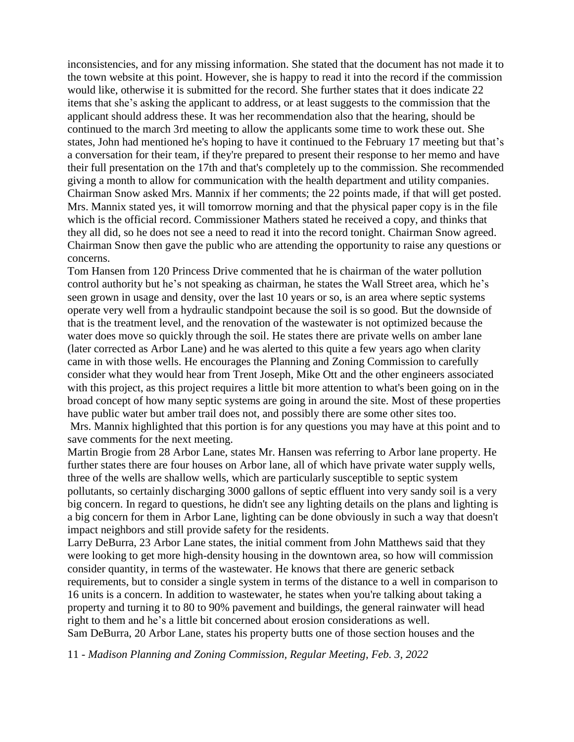inconsistencies, and for any missing information. She stated that the document has not made it to the town website at this point. However, she is happy to read it into the record if the commission would like, otherwise it is submitted for the record. She further states that it does indicate 22 items that she's asking the applicant to address, or at least suggests to the commission that the applicant should address these. It was her recommendation also that the hearing, should be continued to the march 3rd meeting to allow the applicants some time to work these out. She states, John had mentioned he's hoping to have it continued to the February 17 meeting but that's a conversation for their team, if they're prepared to present their response to her memo and have their full presentation on the 17th and that's completely up to the commission. She recommended giving a month to allow for communication with the health department and utility companies. Chairman Snow asked Mrs. Mannix if her comments; the 22 points made, if that will get posted. Mrs. Mannix stated yes, it will tomorrow morning and that the physical paper copy is in the file which is the official record. Commissioner Mathers stated he received a copy, and thinks that they all did, so he does not see a need to read it into the record tonight. Chairman Snow agreed. Chairman Snow then gave the public who are attending the opportunity to raise any questions or concerns.

Tom Hansen from 120 Princess Drive commented that he is chairman of the water pollution control authority but he's not speaking as chairman, he states the Wall Street area, which he's seen grown in usage and density, over the last 10 years or so, is an area where septic systems operate very well from a hydraulic standpoint because the soil is so good. But the downside of that is the treatment level, and the renovation of the wastewater is not optimized because the water does move so quickly through the soil. He states there are private wells on amber lane (later corrected as Arbor Lane) and he was alerted to this quite a few years ago when clarity came in with those wells. He encourages the Planning and Zoning Commission to carefully consider what they would hear from Trent Joseph, Mike Ott and the other engineers associated with this project, as this project requires a little bit more attention to what's been going on in the broad concept of how many septic systems are going in around the site. Most of these properties have public water but amber trail does not, and possibly there are some other sites too.

Mrs. Mannix highlighted that this portion is for any questions you may have at this point and to save comments for the next meeting.

Martin Brogie from 28 Arbor Lane, states Mr. Hansen was referring to Arbor lane property. He further states there are four houses on Arbor lane, all of which have private water supply wells, three of the wells are shallow wells, which are particularly susceptible to septic system pollutants, so certainly discharging 3000 gallons of septic effluent into very sandy soil is a very big concern. In regard to questions, he didn't see any lighting details on the plans and lighting is a big concern for them in Arbor Lane, lighting can be done obviously in such a way that doesn't impact neighbors and still provide safety for the residents.

Larry DeBurra, 23 Arbor Lane states, the initial comment from John Matthews said that they were looking to get more high-density housing in the downtown area, so how will commission consider quantity, in terms of the wastewater. He knows that there are generic setback requirements, but to consider a single system in terms of the distance to a well in comparison to 16 units is a concern. In addition to wastewater, he states when you're talking about taking a property and turning it to 80 to 90% pavement and buildings, the general rainwater will head right to them and he's a little bit concerned about erosion considerations as well. Sam DeBurra, 20 Arbor Lane, states his property butts one of those section houses and the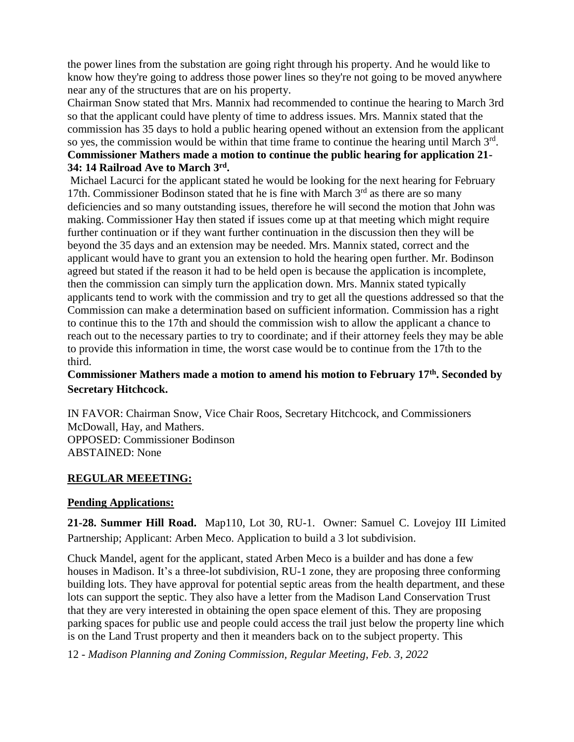the power lines from the substation are going right through his property. And he would like to know how they're going to address those power lines so they're not going to be moved anywhere near any of the structures that are on his property.

Chairman Snow stated that Mrs. Mannix had recommended to continue the hearing to March 3rd so that the applicant could have plenty of time to address issues. Mrs. Mannix stated that the commission has 35 days to hold a public hearing opened without an extension from the applicant so yes, the commission would be within that time frame to continue the hearing until March  $3<sup>rd</sup>$ . **Commissioner Mathers made a motion to continue the public hearing for application 21- 34: 14 Railroad Ave to March 3rd .** 

Michael Lacurci for the applicant stated he would be looking for the next hearing for February 17th. Commissioner Bodinson stated that he is fine with March  $3<sup>rd</sup>$  as there are so many deficiencies and so many outstanding issues, therefore he will second the motion that John was making. Commissioner Hay then stated if issues come up at that meeting which might require further continuation or if they want further continuation in the discussion then they will be beyond the 35 days and an extension may be needed. Mrs. Mannix stated, correct and the applicant would have to grant you an extension to hold the hearing open further. Mr. Bodinson agreed but stated if the reason it had to be held open is because the application is incomplete, then the commission can simply turn the application down. Mrs. Mannix stated typically applicants tend to work with the commission and try to get all the questions addressed so that the Commission can make a determination based on sufficient information. Commission has a right to continue this to the 17th and should the commission wish to allow the applicant a chance to reach out to the necessary parties to try to coordinate; and if their attorney feels they may be able to provide this information in time, the worst case would be to continue from the 17th to the third.

# **Commissioner Mathers made a motion to amend his motion to February 17th. Seconded by Secretary Hitchcock.**

IN FAVOR: Chairman Snow, Vice Chair Roos, Secretary Hitchcock, and Commissioners McDowall, Hay, and Mathers. OPPOSED: Commissioner Bodinson ABSTAINED: None

## **REGULAR MEEETING:**

## **Pending Applications:**

**21-28. Summer Hill Road.** Map110, Lot 30, RU-1. Owner: Samuel C. Lovejoy III Limited Partnership; Applicant: Arben Meco. Application to build a 3 lot subdivision.

Chuck Mandel, agent for the applicant, stated Arben Meco is a builder and has done a few houses in Madison. It's a three-lot subdivision, RU-1 zone, they are proposing three conforming building lots. They have approval for potential septic areas from the health department, and these lots can support the septic. They also have a letter from the Madison Land Conservation Trust that they are very interested in obtaining the open space element of this. They are proposing parking spaces for public use and people could access the trail just below the property line which is on the Land Trust property and then it meanders back on to the subject property. This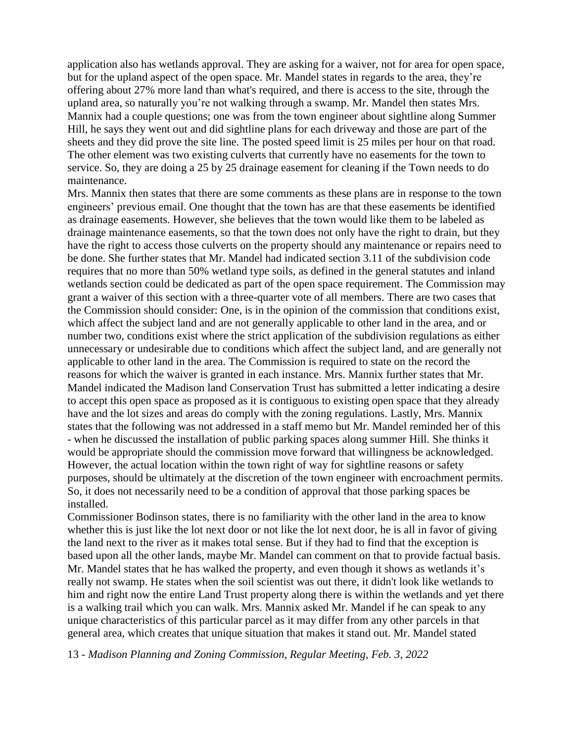application also has wetlands approval. They are asking for a waiver, not for area for open space, but for the upland aspect of the open space. Mr. Mandel states in regards to the area, they're offering about 27% more land than what's required, and there is access to the site, through the upland area, so naturally you're not walking through a swamp. Mr. Mandel then states Mrs. Mannix had a couple questions; one was from the town engineer about sightline along Summer Hill, he says they went out and did sightline plans for each driveway and those are part of the sheets and they did prove the site line. The posted speed limit is 25 miles per hour on that road. The other element was two existing culverts that currently have no easements for the town to service. So, they are doing a 25 by 25 drainage easement for cleaning if the Town needs to do maintenance.

Mrs. Mannix then states that there are some comments as these plans are in response to the town engineers' previous email. One thought that the town has are that these easements be identified as drainage easements. However, she believes that the town would like them to be labeled as drainage maintenance easements, so that the town does not only have the right to drain, but they have the right to access those culverts on the property should any maintenance or repairs need to be done. She further states that Mr. Mandel had indicated section 3.11 of the subdivision code requires that no more than 50% wetland type soils, as defined in the general statutes and inland wetlands section could be dedicated as part of the open space requirement. The Commission may grant a waiver of this section with a three-quarter vote of all members. There are two cases that the Commission should consider: One, is in the opinion of the commission that conditions exist, which affect the subject land and are not generally applicable to other land in the area, and or number two, conditions exist where the strict application of the subdivision regulations as either unnecessary or undesirable due to conditions which affect the subject land, and are generally not applicable to other land in the area. The Commission is required to state on the record the reasons for which the waiver is granted in each instance. Mrs. Mannix further states that Mr. Mandel indicated the Madison land Conservation Trust has submitted a letter indicating a desire to accept this open space as proposed as it is contiguous to existing open space that they already have and the lot sizes and areas do comply with the zoning regulations. Lastly, Mrs. Mannix states that the following was not addressed in a staff memo but Mr. Mandel reminded her of this - when he discussed the installation of public parking spaces along summer Hill. She thinks it would be appropriate should the commission move forward that willingness be acknowledged. However, the actual location within the town right of way for sightline reasons or safety purposes, should be ultimately at the discretion of the town engineer with encroachment permits. So, it does not necessarily need to be a condition of approval that those parking spaces be installed.

Commissioner Bodinson states, there is no familiarity with the other land in the area to know whether this is just like the lot next door or not like the lot next door, he is all in favor of giving the land next to the river as it makes total sense. But if they had to find that the exception is based upon all the other lands, maybe Mr. Mandel can comment on that to provide factual basis. Mr. Mandel states that he has walked the property, and even though it shows as wetlands it's really not swamp. He states when the soil scientist was out there, it didn't look like wetlands to him and right now the entire Land Trust property along there is within the wetlands and yet there is a walking trail which you can walk. Mrs. Mannix asked Mr. Mandel if he can speak to any unique characteristics of this particular parcel as it may differ from any other parcels in that general area, which creates that unique situation that makes it stand out. Mr. Mandel stated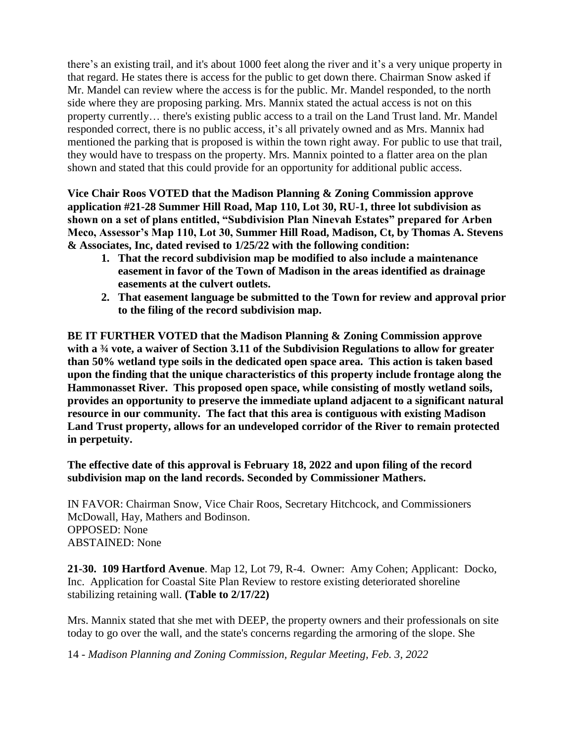there's an existing trail, and it's about 1000 feet along the river and it's a very unique property in that regard. He states there is access for the public to get down there. Chairman Snow asked if Mr. Mandel can review where the access is for the public. Mr. Mandel responded, to the north side where they are proposing parking. Mrs. Mannix stated the actual access is not on this property currently… there's existing public access to a trail on the Land Trust land. Mr. Mandel responded correct, there is no public access, it's all privately owned and as Mrs. Mannix had mentioned the parking that is proposed is within the town right away. For public to use that trail, they would have to trespass on the property. Mrs. Mannix pointed to a flatter area on the plan shown and stated that this could provide for an opportunity for additional public access.

**Vice Chair Roos VOTED that the Madison Planning & Zoning Commission approve application #21-28 Summer Hill Road, Map 110, Lot 30, RU-1, three lot subdivision as shown on a set of plans entitled, "Subdivision Plan Ninevah Estates" prepared for Arben Meco, Assessor's Map 110, Lot 30, Summer Hill Road, Madison, Ct, by Thomas A. Stevens & Associates, Inc, dated revised to 1/25/22 with the following condition:**

- **1. That the record subdivision map be modified to also include a maintenance easement in favor of the Town of Madison in the areas identified as drainage easements at the culvert outlets.**
- **2. That easement language be submitted to the Town for review and approval prior to the filing of the record subdivision map.**

**BE IT FURTHER VOTED that the Madison Planning & Zoning Commission approve with a ¾ vote, a waiver of Section 3.11 of the Subdivision Regulations to allow for greater than 50% wetland type soils in the dedicated open space area. This action is taken based upon the finding that the unique characteristics of this property include frontage along the Hammonasset River. This proposed open space, while consisting of mostly wetland soils, provides an opportunity to preserve the immediate upland adjacent to a significant natural resource in our community. The fact that this area is contiguous with existing Madison Land Trust property, allows for an undeveloped corridor of the River to remain protected in perpetuity.** 

**The effective date of this approval is February 18, 2022 and upon filing of the record subdivision map on the land records. Seconded by Commissioner Mathers.**

IN FAVOR: Chairman Snow, Vice Chair Roos, Secretary Hitchcock, and Commissioners McDowall, Hay, Mathers and Bodinson. OPPOSED: None ABSTAINED: None

**21-30. 109 Hartford Avenue**. Map 12, Lot 79, R-4. Owner: Amy Cohen; Applicant: Docko, Inc. Application for Coastal Site Plan Review to restore existing deteriorated shoreline stabilizing retaining wall. **(Table to 2/17/22)**

Mrs. Mannix stated that she met with DEEP, the property owners and their professionals on site today to go over the wall, and the state's concerns regarding the armoring of the slope. She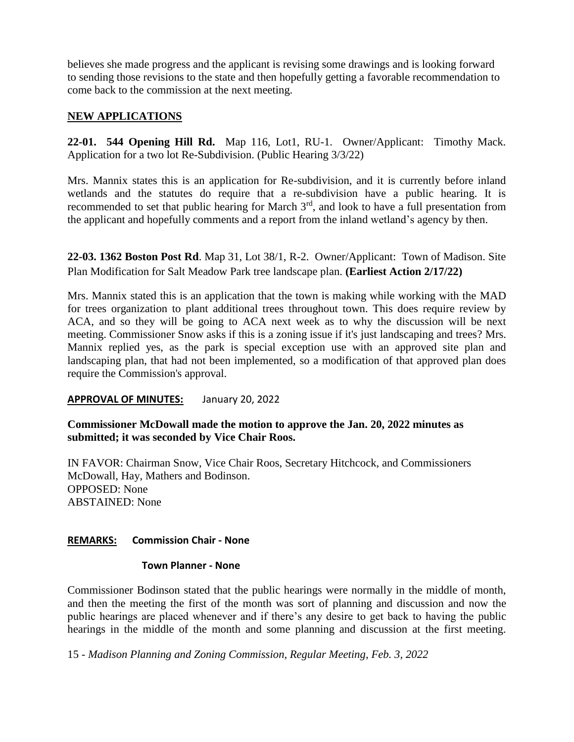believes she made progress and the applicant is revising some drawings and is looking forward to sending those revisions to the state and then hopefully getting a favorable recommendation to come back to the commission at the next meeting.

## **NEW APPLICATIONS**

**22-01. 544 Opening Hill Rd.** Map 116, Lot1, RU-1. Owner/Applicant: Timothy Mack. Application for a two lot Re-Subdivision. (Public Hearing 3/3/22)

Mrs. Mannix states this is an application for Re-subdivision, and it is currently before inland wetlands and the statutes do require that a re-subdivision have a public hearing. It is recommended to set that public hearing for March  $3<sup>rd</sup>$ , and look to have a full presentation from the applicant and hopefully comments and a report from the inland wetland's agency by then.

**22-03. 1362 Boston Post Rd**. Map 31, Lot 38/1, R-2. Owner/Applicant: Town of Madison. Site Plan Modification for Salt Meadow Park tree landscape plan. **(Earliest Action 2/17/22)**

Mrs. Mannix stated this is an application that the town is making while working with the MAD for trees organization to plant additional trees throughout town. This does require review by ACA, and so they will be going to ACA next week as to why the discussion will be next meeting. Commissioner Snow asks if this is a zoning issue if it's just landscaping and trees? Mrs. Mannix replied yes, as the park is special exception use with an approved site plan and landscaping plan, that had not been implemented, so a modification of that approved plan does require the Commission's approval.

## **APPROVAL OF MINUTES:** January 20, 2022

**Commissioner McDowall made the motion to approve the Jan. 20, 2022 minutes as submitted; it was seconded by Vice Chair Roos.**

IN FAVOR: Chairman Snow, Vice Chair Roos, Secretary Hitchcock, and Commissioners McDowall, Hay, Mathers and Bodinson. OPPOSED: None ABSTAINED: None

## **REMARKS: Commission Chair - None**

#### **Town Planner - None**

Commissioner Bodinson stated that the public hearings were normally in the middle of month, and then the meeting the first of the month was sort of planning and discussion and now the public hearings are placed whenever and if there's any desire to get back to having the public hearings in the middle of the month and some planning and discussion at the first meeting.